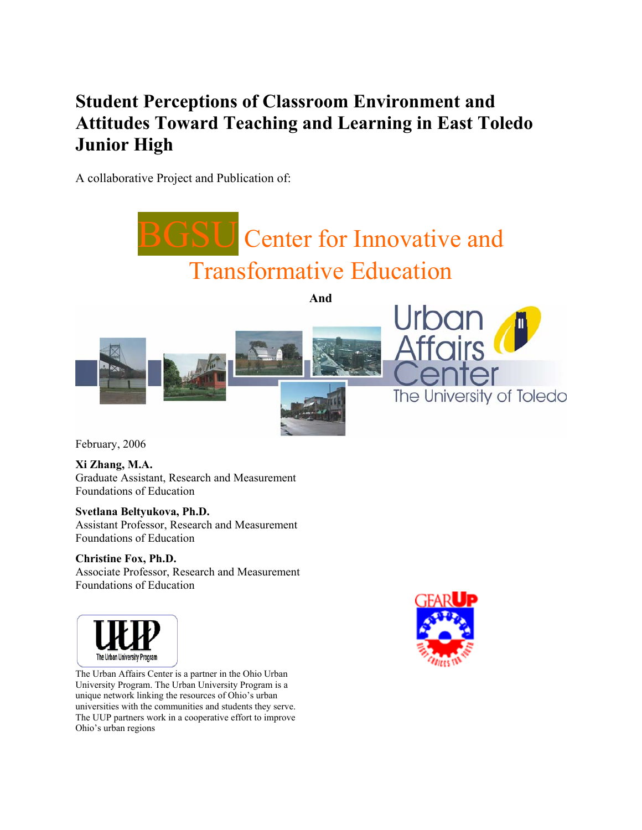# **Student Perceptions of Classroom Environment and Attitudes Toward Teaching and Learning in East Toledo Junior High**

A collaborative Project and Publication of:



February, 2006

**Xi Zhang, M.A.**  Graduate Assistant, Research and Measurement Foundations of Education

**Svetlana Beltyukova, Ph.D.** 

Assistant Professor, Research and Measurement Foundations of Education

#### **Christine Fox, Ph.D.**

Associate Professor, Research and Measurement Foundations of Education



The Urban University Program<br>The Urban Affairs Center is a partner in the Ohio Urban University Program. The Urban University Program is a unique network linking the resources of Ohio's urban universities with the communities and students they serve. The UUP partners work in a cooperative effort to improve Ohio's urban regions

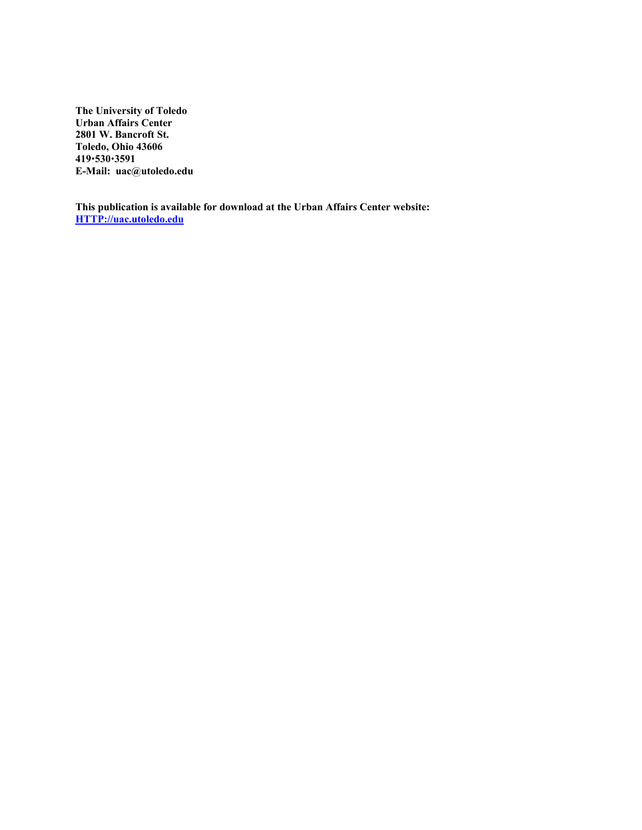**The University of Toledo Urban Affairs Center 2801 W. Bancroft St. Toledo, Ohio 43606 419**x**530**x**3591 E-Mail: uac@utoledo.edu** 

**This publication is available for download at the Urban Affairs Center website: HTTP://uac.utoledo.edu**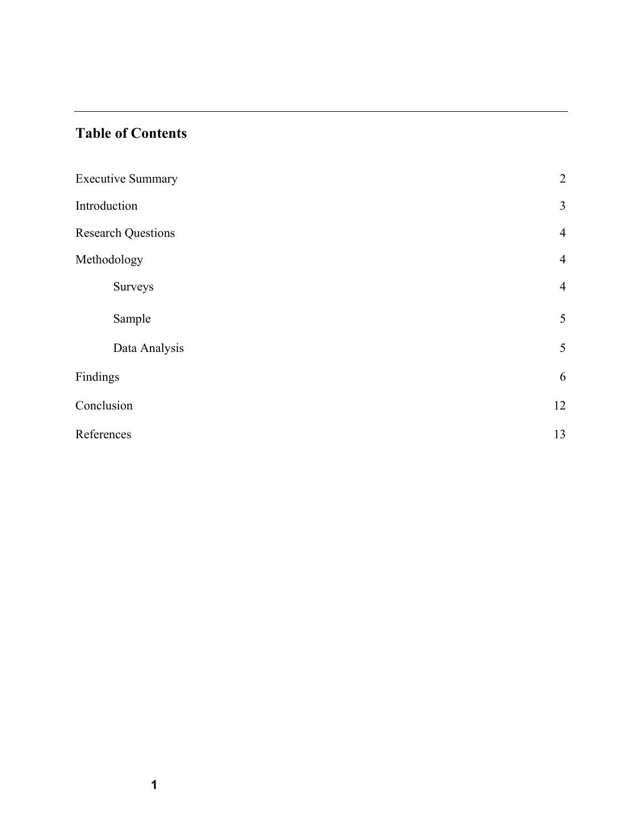## **Table of Contents**

| <b>Executive Summary</b>  | $\overline{2}$ |
|---------------------------|----------------|
| Introduction              | $\overline{3}$ |
| <b>Research Questions</b> | $\overline{4}$ |
| Methodology               | $\overline{4}$ |
| Surveys                   | $\overline{4}$ |
| Sample                    | 5              |
| Data Analysis             | 5              |
| Findings                  | 6              |
| Conclusion                | 12             |
| References                | 13             |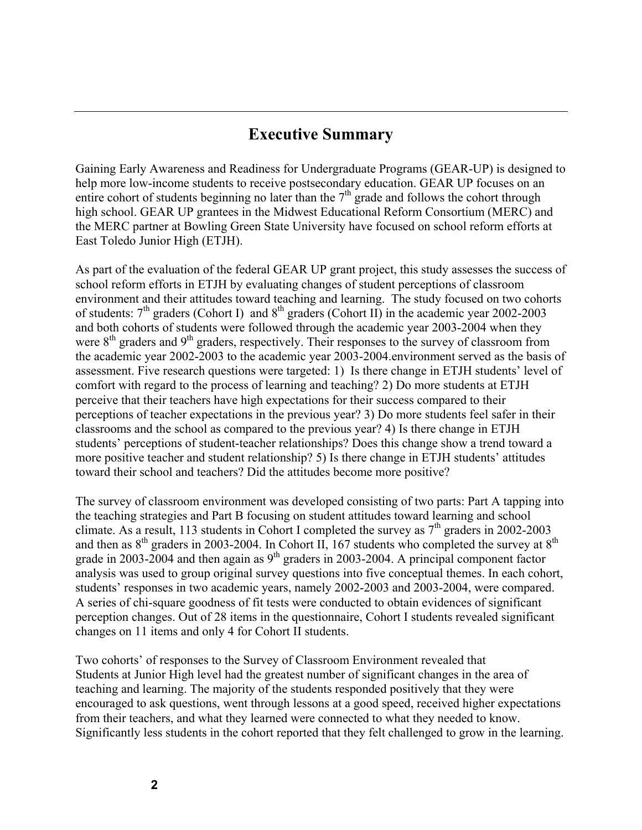# **Executive Summary**

Gaining Early Awareness and Readiness for Undergraduate Programs (GEAR-UP) is designed to help more low-income students to receive postsecondary education. GEAR UP focuses on an entire cohort of students beginning no later than the  $7<sup>th</sup>$  grade and follows the cohort through high school. GEAR UP grantees in the Midwest Educational Reform Consortium (MERC) and the MERC partner at Bowling Green State University have focused on school reform efforts at East Toledo Junior High (ETJH).

As part of the evaluation of the federal GEAR UP grant project, this study assesses the success of school reform efforts in ETJH by evaluating changes of student perceptions of classroom environment and their attitudes toward teaching and learning. The study focused on two cohorts of students:  $7<sup>th</sup>$  graders (Cohort I) and  $8<sup>th</sup>$  graders (Cohort II) in the academic year 2002-2003 and both cohorts of students were followed through the academic year 2003-2004 when they were  $8<sup>th</sup>$  graders and  $9<sup>th</sup>$  graders, respectively. Their responses to the survey of classroom from the academic year 2002-2003 to the academic year 2003-2004.environment served as the basis of assessment. Five research questions were targeted: 1) Is there change in ETJH students' level of comfort with regard to the process of learning and teaching? 2) Do more students at ETJH perceive that their teachers have high expectations for their success compared to their perceptions of teacher expectations in the previous year? 3) Do more students feel safer in their classrooms and the school as compared to the previous year? 4) Is there change in ETJH students' perceptions of student-teacher relationships? Does this change show a trend toward a more positive teacher and student relationship? 5) Is there change in ETJH students' attitudes toward their school and teachers? Did the attitudes become more positive?

The survey of classroom environment was developed consisting of two parts: Part A tapping into the teaching strategies and Part B focusing on student attitudes toward learning and school climate. As a result, 113 students in Cohort I completed the survey as  $7<sup>th</sup>$  graders in 2002-2003 and then as  $8<sup>th</sup>$  graders in 2003-2004. In Cohort II, 167 students who completed the survey at  $8<sup>th</sup>$ grade in 2003-2004 and then again as  $9<sup>th</sup>$  graders in 2003-2004. A principal component factor analysis was used to group original survey questions into five conceptual themes. In each cohort, students' responses in two academic years, namely 2002-2003 and 2003-2004, were compared. A series of chi-square goodness of fit tests were conducted to obtain evidences of significant perception changes. Out of 28 items in the questionnaire, Cohort I students revealed significant changes on 11 items and only 4 for Cohort II students.

Two cohorts' of responses to the Survey of Classroom Environment revealed that Students at Junior High level had the greatest number of significant changes in the area of teaching and learning. The majority of the students responded positively that they were encouraged to ask questions, went through lessons at a good speed, received higher expectations from their teachers, and what they learned were connected to what they needed to know. Significantly less students in the cohort reported that they felt challenged to grow in the learning.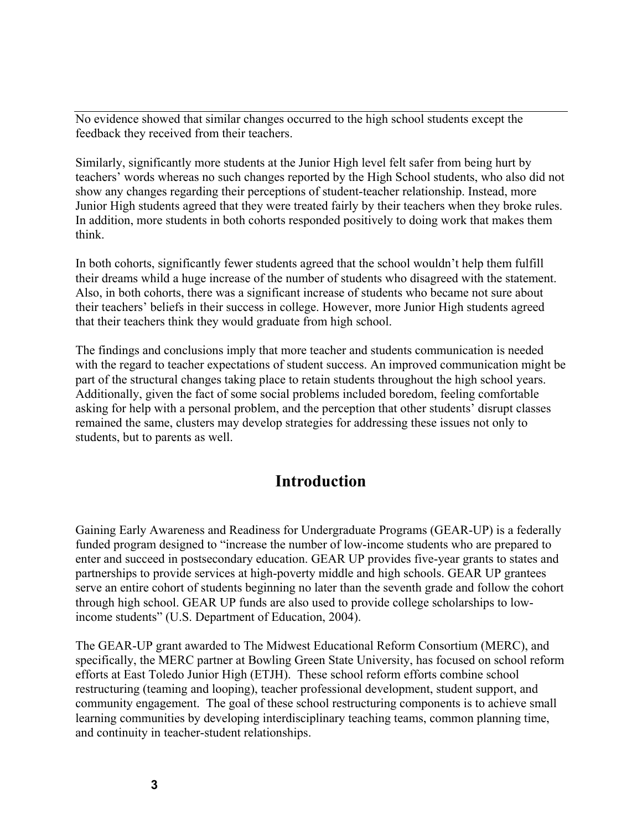No evidence showed that similar changes occurred to the high school students except the feedback they received from their teachers.

Similarly, significantly more students at the Junior High level felt safer from being hurt by teachers' words whereas no such changes reported by the High School students, who also did not show any changes regarding their perceptions of student-teacher relationship. Instead, more Junior High students agreed that they were treated fairly by their teachers when they broke rules. In addition, more students in both cohorts responded positively to doing work that makes them think.

In both cohorts, significantly fewer students agreed that the school wouldn't help them fulfill their dreams whild a huge increase of the number of students who disagreed with the statement. Also, in both cohorts, there was a significant increase of students who became not sure about their teachers' beliefs in their success in college. However, more Junior High students agreed that their teachers think they would graduate from high school.

The findings and conclusions imply that more teacher and students communication is needed with the regard to teacher expectations of student success. An improved communication might be part of the structural changes taking place to retain students throughout the high school years. Additionally, given the fact of some social problems included boredom, feeling comfortable asking for help with a personal problem, and the perception that other students' disrupt classes remained the same, clusters may develop strategies for addressing these issues not only to students, but to parents as well.

## **Introduction**

Gaining Early Awareness and Readiness for Undergraduate Programs (GEAR-UP) is a federally funded program designed to "increase the number of low-income students who are prepared to enter and succeed in postsecondary education. GEAR UP provides five-year grants to states and partnerships to provide services at high-poverty middle and high schools. GEAR UP grantees serve an entire cohort of students beginning no later than the seventh grade and follow the cohort through high school. GEAR UP funds are also used to provide college scholarships to lowincome students" (U.S. Department of Education, 2004).

The GEAR-UP grant awarded to The Midwest Educational Reform Consortium (MERC), and specifically, the MERC partner at Bowling Green State University, has focused on school reform efforts at East Toledo Junior High (ETJH). These school reform efforts combine school restructuring (teaming and looping), teacher professional development, student support, and community engagement. The goal of these school restructuring components is to achieve small learning communities by developing interdisciplinary teaching teams, common planning time, and continuity in teacher-student relationships.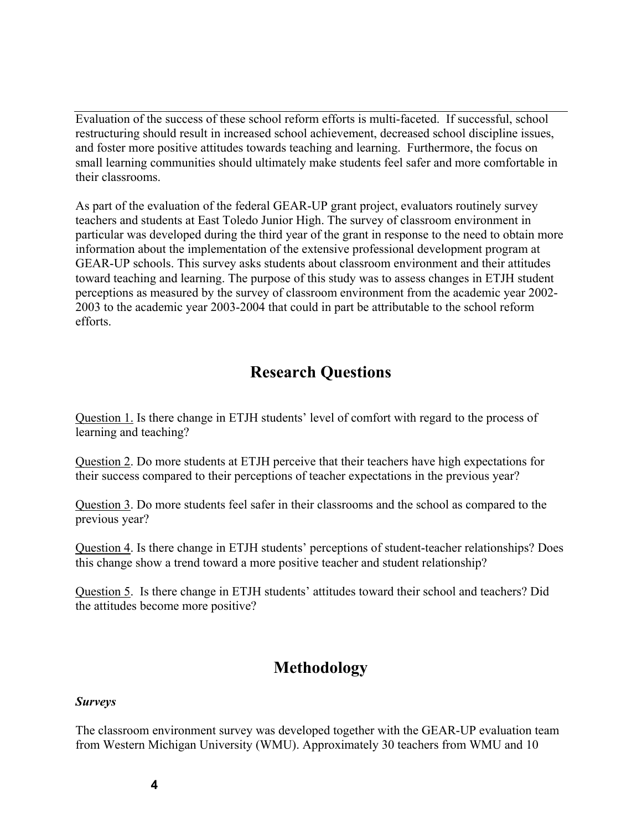Evaluation of the success of these school reform efforts is multi-faceted. If successful, school restructuring should result in increased school achievement, decreased school discipline issues, and foster more positive attitudes towards teaching and learning. Furthermore, the focus on small learning communities should ultimately make students feel safer and more comfortable in their classrooms.

As part of the evaluation of the federal GEAR-UP grant project, evaluators routinely survey teachers and students at East Toledo Junior High. The survey of classroom environment in particular was developed during the third year of the grant in response to the need to obtain more information about the implementation of the extensive professional development program at GEAR-UP schools. This survey asks students about classroom environment and their attitudes toward teaching and learning. The purpose of this study was to assess changes in ETJH student perceptions as measured by the survey of classroom environment from the academic year 2002- 2003 to the academic year 2003-2004 that could in part be attributable to the school reform efforts.

# **Research Questions**

Question 1. Is there change in ETJH students' level of comfort with regard to the process of learning and teaching?

Question 2. Do more students at ETJH perceive that their teachers have high expectations for their success compared to their perceptions of teacher expectations in the previous year?

Question 3. Do more students feel safer in their classrooms and the school as compared to the previous year?

Question 4. Is there change in ETJH students' perceptions of student-teacher relationships? Does this change show a trend toward a more positive teacher and student relationship?

Question 5. Is there change in ETJH students' attitudes toward their school and teachers? Did the attitudes become more positive?

# **Methodology**

#### *Surveys*

The classroom environment survey was developed together with the GEAR-UP evaluation team from Western Michigan University (WMU). Approximately 30 teachers from WMU and 10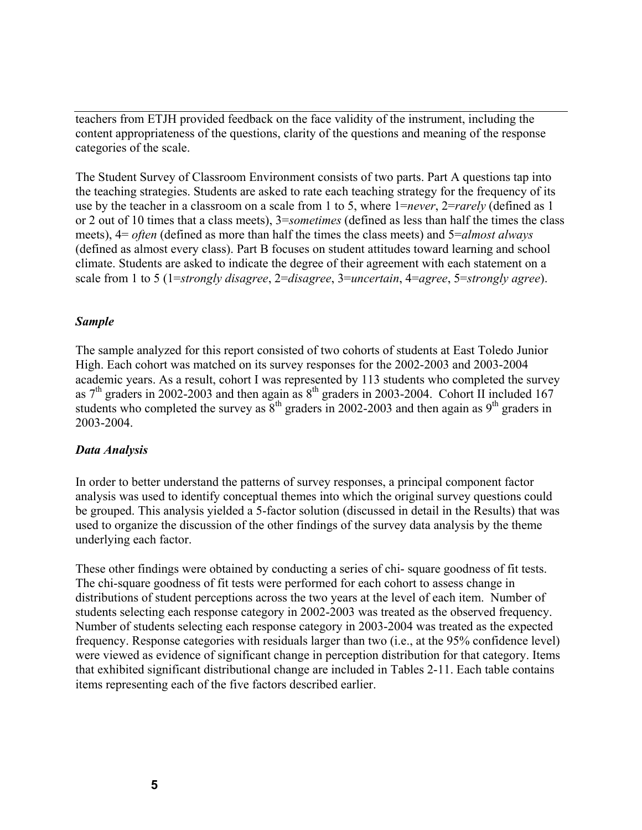teachers from ETJH provided feedback on the face validity of the instrument, including the content appropriateness of the questions, clarity of the questions and meaning of the response categories of the scale.

The Student Survey of Classroom Environment consists of two parts. Part A questions tap into the teaching strategies. Students are asked to rate each teaching strategy for the frequency of its use by the teacher in a classroom on a scale from 1 to 5, where 1=*never*, 2=*rarely* (defined as 1 or 2 out of 10 times that a class meets), 3=*sometimes* (defined as less than half the times the class meets), 4= *often* (defined as more than half the times the class meets) and 5=*almost always* (defined as almost every class). Part B focuses on student attitudes toward learning and school climate. Students are asked to indicate the degree of their agreement with each statement on a scale from 1 to 5 (1=*strongly disagree*, 2=*disagree*, 3=*uncertain*, 4=*agree*, 5=*strongly agree*).

#### *Sample*

The sample analyzed for this report consisted of two cohorts of students at East Toledo Junior High. Each cohort was matched on its survey responses for the 2002-2003 and 2003-2004 academic years. As a result, cohort I was represented by 113 students who completed the survey as  $7<sup>th</sup>$  graders in 2002-2003 and then again as  $8<sup>th</sup>$  graders in 2003-2004. Cohort II included 167 students who completed the survey as  $8<sup>th</sup>$  graders in 2002-2003 and then again as  $9<sup>th</sup>$  graders in 2003-2004.

### *Data Analysis*

In order to better understand the patterns of survey responses, a principal component factor analysis was used to identify conceptual themes into which the original survey questions could be grouped. This analysis yielded a 5-factor solution (discussed in detail in the Results) that was used to organize the discussion of the other findings of the survey data analysis by the theme underlying each factor.

These other findings were obtained by conducting a series of chi- square goodness of fit tests. The chi-square goodness of fit tests were performed for each cohort to assess change in distributions of student perceptions across the two years at the level of each item. Number of students selecting each response category in 2002-2003 was treated as the observed frequency. Number of students selecting each response category in 2003-2004 was treated as the expected frequency. Response categories with residuals larger than two (i.e., at the 95% confidence level) were viewed as evidence of significant change in perception distribution for that category. Items that exhibited significant distributional change are included in Tables 2-11. Each table contains items representing each of the five factors described earlier.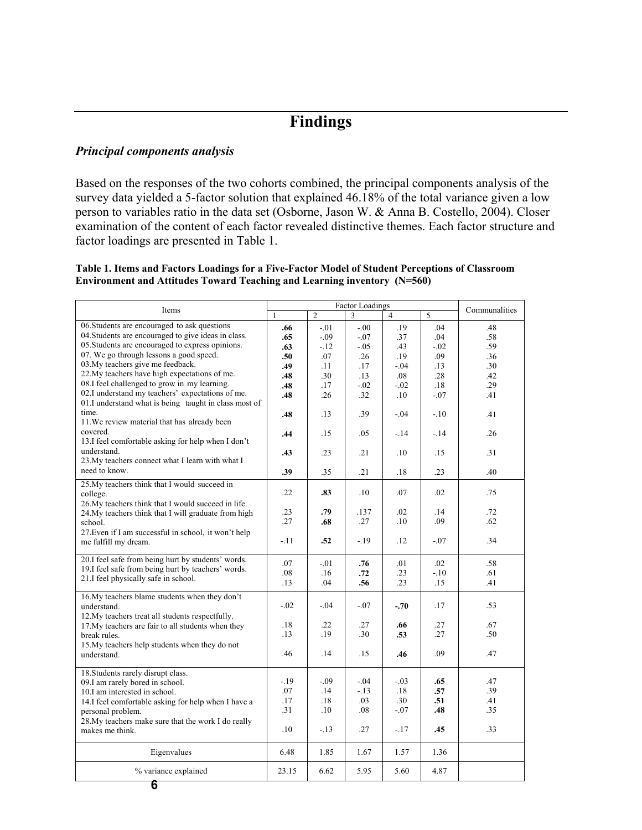# **Findings**

#### *Principal components analysis*

Based on the responses of the two cohorts combined, the principal components analysis of the survey data yielded a 5-factor solution that explained 46.18% of the total variance given a low person to variables ratio in the data set (Osborne, Jason W. & Anna B. Costello, 2004). Closer examination of the content of each factor revealed distinctive themes. Each factor structure and factor loadings are presented in Table 1.

#### **Table 1. Items and Factors Loadings for a Five-Factor Model of Student Perceptions of Classroom Environment and Attitudes Toward Teaching and Learning inventory (N=560)**

|                                                                                                             |              |                | <b>Factor Loadings</b> |                |                |               |
|-------------------------------------------------------------------------------------------------------------|--------------|----------------|------------------------|----------------|----------------|---------------|
| Items                                                                                                       | $\mathbf{1}$ | $\overline{2}$ | 3                      | $\overline{A}$ | $\overline{5}$ | Communalities |
| 06. Students are encouraged to ask questions                                                                | .66          | $-.01$         | $-0.00$                | .19            | .04            | .48           |
| 04. Students are encouraged to give ideas in class.                                                         | .65          | $-.09$         | $-.07$                 | .37            | .04            | .58           |
| 05. Students are encouraged to express opinions.                                                            | .63          | $-12$          | $-.05$                 | .43            | $-.02$         | .59           |
| 07. We go through lessons a good speed.                                                                     | .50          | .07            | .26                    | .19            | .09            | .36           |
| 03. My teachers give me feedback.                                                                           | .49          | .11            | .17                    | $-.04$         | .13            | .30           |
| 22. My teachers have high expectations of me.                                                               | .48          | .30            | .13                    | .08            | .28            | .42           |
| 08.I feel challenged to grow in my learning.                                                                | .48          | .17            | $-.02$                 | $-.02$         | .18            | .29           |
| 02.I understand my teachers' expectations of me.<br>01.I understand what is being taught in class most of   | .48          | .26            | .32                    | .10            | $-0.07$        | .41           |
| time.<br>11. We review material that has already been                                                       | .48          | .13            | .39                    | $-.04$         | $-10^{-}$      | .41           |
| covered.<br>13.I feel comfortable asking for help when I don't                                              | .44          | .15            | .05                    | $-.14$         | $-14$          | .26           |
| understand.<br>23. My teachers connect what I learn with what I                                             | .43          | .23            | .21                    | .10            | .15            | .31           |
| need to know.                                                                                               | .39          | .35            | .21                    | .18            | .23            | .40           |
| 25. My teachers think that I would succeed in<br>college.                                                   | .22          | .83            | .10                    | .07            | $.02\,$        | .75           |
| 26. My teachers think that I would succeed in life.<br>24. My teachers think that I will graduate from high | .23          | .79            | .137                   | .02            | .14            | .72           |
| school.                                                                                                     | .27          | .68            | .27                    | .10            | .09            | .62           |
| 27. Even if I am successful in school, it won't help<br>me fulfill my dream.                                | $-.11$       | .52            | $-19$                  | .12            | $-07$          | .34           |
|                                                                                                             |              |                |                        |                |                |               |
| 20.I feel safe from being hurt by students' words.                                                          | .07          | $-.01$         | .76                    | .01            | $.02\,$        | .58           |
| 19.I feel safe from being hurt by teachers' words.                                                          | .08          | .16            | .72                    | .23            | $-10$          | .61           |
| 21.I feel physically safe in school.                                                                        | .13          | .04            | .56                    | .23            | .15            | .41           |
| 16. My teachers blame students when they don't                                                              |              |                |                        |                |                |               |
| understand.                                                                                                 | $-.02$       | $-.04$         | $-.07$                 | $-.70$         | .17            | .53           |
| 12. My teachers treat all students respectfully.                                                            |              |                |                        |                |                |               |
| 17. My teachers are fair to all students when they                                                          | .18          | .22            | .27                    | .66            | .27            | .67           |
| break rules.                                                                                                | .13          | .19            | .30                    | .53            | .27            | .50           |
| 15. My teachers help students when they do not                                                              |              |                |                        |                |                |               |
| understand.                                                                                                 | .46          | .14            | .15                    | .46            | .09            | .47           |
| 18. Students rarely disrupt class.                                                                          |              |                |                        |                |                |               |
| 09.I am rarely bored in school.                                                                             | $-.19$       | $-.09$         | $-.04$                 | $-.03$         | .65            | .47           |
| 10.I am interested in school.                                                                               | .07          | .14            | $-13$                  | .18            | .57            | .39           |
| 14.I feel comfortable asking for help when I have a                                                         | .17          | .18            | .03                    | .30            | .51            | .41           |
| personal problem.                                                                                           | .31          | .10            | .08                    | $-.07$         | .48            | .35           |
| 28. My teachers make sure that the work I do really                                                         |              |                |                        |                |                |               |
| makes me think.                                                                                             | .10          | $-.13$         | .27                    | $-17$          | .45            | .33           |
| Eigenvalues                                                                                                 | 6.48         | 1.85           | 1.67                   | 1.57           | 1.36           |               |
| % variance explained                                                                                        | 23.15        | 6.62           | 5.95                   | 5.60           | 4.87           |               |
| 6                                                                                                           |              |                |                        |                |                |               |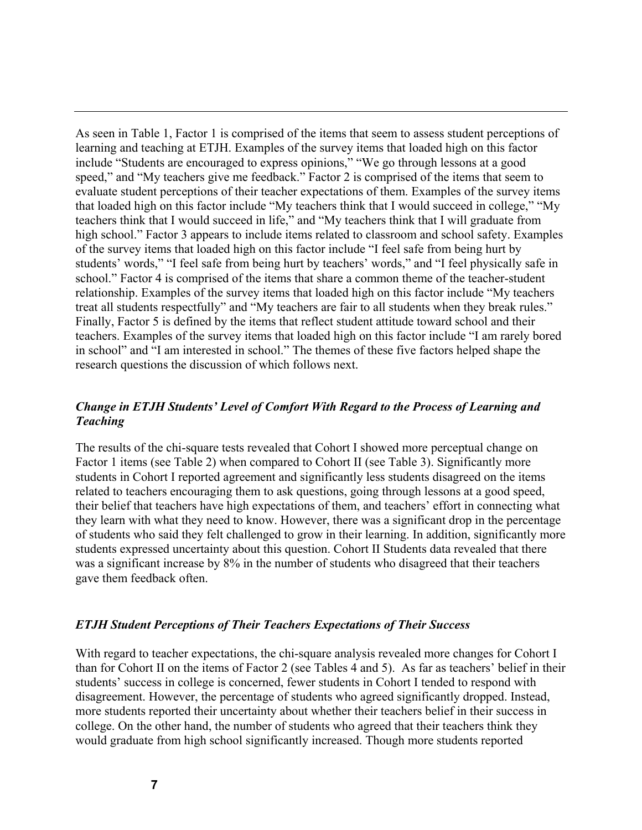As seen in Table 1, Factor 1 is comprised of the items that seem to assess student perceptions of learning and teaching at ETJH. Examples of the survey items that loaded high on this factor include "Students are encouraged to express opinions," "We go through lessons at a good speed," and "My teachers give me feedback." Factor 2 is comprised of the items that seem to evaluate student perceptions of their teacher expectations of them. Examples of the survey items that loaded high on this factor include "My teachers think that I would succeed in college," "My teachers think that I would succeed in life," and "My teachers think that I will graduate from high school." Factor 3 appears to include items related to classroom and school safety. Examples of the survey items that loaded high on this factor include "I feel safe from being hurt by students' words," "I feel safe from being hurt by teachers' words," and "I feel physically safe in school." Factor 4 is comprised of the items that share a common theme of the teacher-student relationship. Examples of the survey items that loaded high on this factor include "My teachers treat all students respectfully" and "My teachers are fair to all students when they break rules." Finally, Factor 5 is defined by the items that reflect student attitude toward school and their teachers. Examples of the survey items that loaded high on this factor include "I am rarely bored in school" and "I am interested in school." The themes of these five factors helped shape the research questions the discussion of which follows next.

### *Change in ETJH Students' Level of Comfort With Regard to the Process of Learning and Teaching*

The results of the chi-square tests revealed that Cohort I showed more perceptual change on Factor 1 items (see Table 2) when compared to Cohort II (see Table 3). Significantly more students in Cohort I reported agreement and significantly less students disagreed on the items related to teachers encouraging them to ask questions, going through lessons at a good speed, their belief that teachers have high expectations of them, and teachers' effort in connecting what they learn with what they need to know. However, there was a significant drop in the percentage of students who said they felt challenged to grow in their learning. In addition, significantly more students expressed uncertainty about this question. Cohort II Students data revealed that there was a significant increase by 8% in the number of students who disagreed that their teachers gave them feedback often.

### *ETJH Student Perceptions of Their Teachers Expectations of Their Success*

With regard to teacher expectations, the chi-square analysis revealed more changes for Cohort I than for Cohort II on the items of Factor 2 (see Tables 4 and 5). As far as teachers' belief in their students' success in college is concerned, fewer students in Cohort I tended to respond with disagreement. However, the percentage of students who agreed significantly dropped. Instead, more students reported their uncertainty about whether their teachers belief in their success in college. On the other hand, the number of students who agreed that their teachers think they would graduate from high school significantly increased. Though more students reported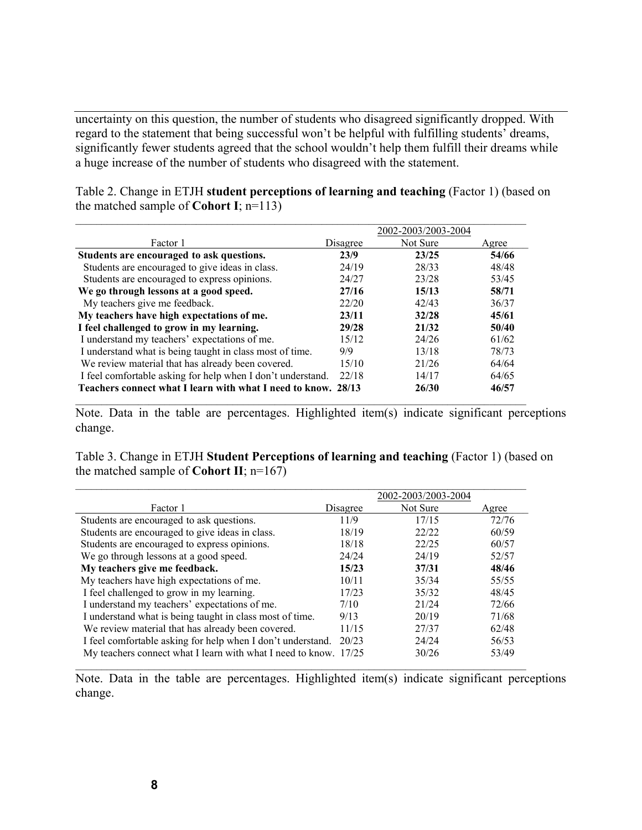uncertainty on this question, the number of students who disagreed significantly dropped. With regard to the statement that being successful won't be helpful with fulfilling students' dreams, significantly fewer students agreed that the school wouldn't help them fulfill their dreams while a huge increase of the number of students who disagreed with the statement.

|                                                               | 2002-2003/2003-2004 |          |       |  |
|---------------------------------------------------------------|---------------------|----------|-------|--|
| Factor 1                                                      | Disagree            | Not Sure | Agree |  |
| Students are encouraged to ask questions.                     | 23/9                | 23/25    | 54/66 |  |
| Students are encouraged to give ideas in class.               | 24/19               | 28/33    | 48/48 |  |
| Students are encouraged to express opinions.                  | 24/27               | 23/28    | 53/45 |  |
| We go through lessons at a good speed.                        | 27/16               | 15/13    | 58/71 |  |
| My teachers give me feedback.                                 | 22/20               | 42/43    | 36/37 |  |
| My teachers have high expectations of me.                     | 23/11               | 32/28    | 45/61 |  |
| I feel challenged to grow in my learning.                     | 29/28               | 21/32    | 50/40 |  |
| I understand my teachers' expectations of me.                 | 15/12               | 24/26    | 61/62 |  |
| I understand what is being taught in class most of time.      | 9/9                 | 13/18    | 78/73 |  |
| We review material that has already been covered.             | 15/10               | 21/26    | 64/64 |  |
| I feel comfortable asking for help when I don't understand.   | 22/18               | 14/17    | 64/65 |  |
| Teachers connect what I learn with what I need to know. 28/13 |                     | 26/30    | 46/57 |  |

 $\mathcal{L}_\mathcal{L} = \{ \mathcal{L}_\mathcal{L} = \{ \mathcal{L}_\mathcal{L} = \{ \mathcal{L}_\mathcal{L} = \{ \mathcal{L}_\mathcal{L} = \{ \mathcal{L}_\mathcal{L} = \{ \mathcal{L}_\mathcal{L} = \{ \mathcal{L}_\mathcal{L} = \{ \mathcal{L}_\mathcal{L} = \{ \mathcal{L}_\mathcal{L} = \{ \mathcal{L}_\mathcal{L} = \{ \mathcal{L}_\mathcal{L} = \{ \mathcal{L}_\mathcal{L} = \{ \mathcal{L}_\mathcal{L} = \{ \mathcal{L}_\mathcal{$ 

Table 2. Change in ETJH **student perceptions of learning and teaching** (Factor 1) (based on the matched sample of **Cohort I**;  $n=113$ )

Note. Data in the table are percentages. Highlighted item(s) indicate significant perceptions change.

Table 3. Change in ETJH **Student Perceptions of learning and teaching** (Factor 1) (based on the matched sample of **Cohort II**;  $n=167$ )

|                                                                  |          | 2002-2003/2003-2004 |       |
|------------------------------------------------------------------|----------|---------------------|-------|
| Factor 1                                                         | Disagree | Not Sure            | Agree |
| Students are encouraged to ask questions.                        | 11/9     | 17/15               | 72/76 |
| Students are encouraged to give ideas in class.                  | 18/19    | 22/22               | 60/59 |
| Students are encouraged to express opinions.                     | 18/18    | 22/25               | 60/57 |
| We go through lessons at a good speed.                           | 24/24    | 24/19               | 52/57 |
| My teachers give me feedback.                                    | 15/23    | 37/31               | 48/46 |
| My teachers have high expectations of me.                        | 10/11    | 35/34               | 55/55 |
| I feel challenged to grow in my learning.                        | 17/23    | 35/32               | 48/45 |
| I understand my teachers' expectations of me.                    | 7/10     | 21/24               | 72/66 |
| I understand what is being taught in class most of time.         | 9/13     | 20/19               | 71/68 |
| We review material that has already been covered.                | 11/15    | 27/37               | 62/48 |
| I feel comfortable asking for help when I don't understand.      | 20/23    | 24/24               | 56/53 |
| My teachers connect what I learn with what I need to know. 17/25 |          | 30/26               | 53/49 |

Note. Data in the table are percentages. Highlighted item(s) indicate significant perceptions change.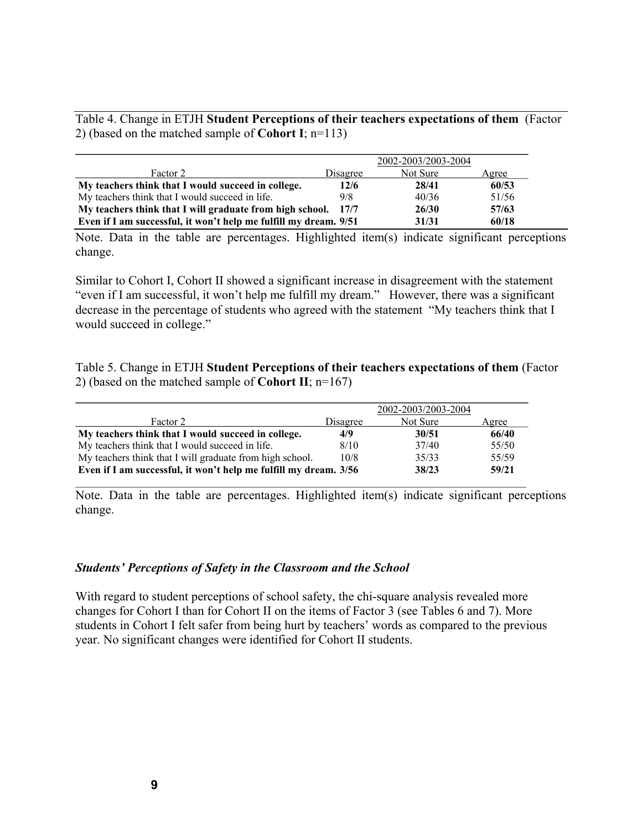Table 4. Change in ETJH **Student Perceptions of their teachers expectations of them** (Factor 2) (based on the matched sample of **Cohort I**; n=113)

|                                                                  |          | 2002-2003/2003-2004 |       |
|------------------------------------------------------------------|----------|---------------------|-------|
| Factor 2                                                         | Disagree | Not Sure            | Agree |
| My teachers think that I would succeed in college.               | 12/6     | 28/41               | 60/53 |
| My teachers think that I would succeed in life.                  | 9/8      | 40/36               | 51/56 |
| My teachers think that I will graduate from high school.         | 17/7     | 26/30               | 57/63 |
| Even if I am successful, it won't help me fulfill my dream. 9/51 |          | 31/31               | 60/18 |

Note. Data in the table are percentages. Highlighted item(s) indicate significant perceptions change.

Similar to Cohort I, Cohort II showed a significant increase in disagreement with the statement "even if I am successful, it won't help me fulfill my dream." However, there was a significant decrease in the percentage of students who agreed with the statement "My teachers think that I would succeed in college."

Table 5. Change in ETJH **Student Perceptions of their teachers expectations of them** (Factor 2) (based on the matched sample of **Cohort II**; n=167)

|                                                                  |          | 2002-2003/2003-2004 |       |
|------------------------------------------------------------------|----------|---------------------|-------|
| Factor 2                                                         | Disagree | Not Sure            | Agree |
| My teachers think that I would succeed in college.               | 4/9      | 30/51               | 66/40 |
| My teachers think that I would succeed in life.                  | 8/10     | 37/40               | 55/50 |
| My teachers think that I will graduate from high school.         | 10/8     | 35/33               | 55/59 |
| Even if I am successful, it won't help me fulfill my dream. 3/56 |          | 38/23               | 59/21 |

Note. Data in the table are percentages. Highlighted item(s) indicate significant perceptions change.

#### *Students' Perceptions of Safety in the Classroom and the School*

With regard to student perceptions of school safety, the chi-square analysis revealed more changes for Cohort I than for Cohort II on the items of Factor 3 (see Tables 6 and 7). More students in Cohort I felt safer from being hurt by teachers' words as compared to the previous year. No significant changes were identified for Cohort II students.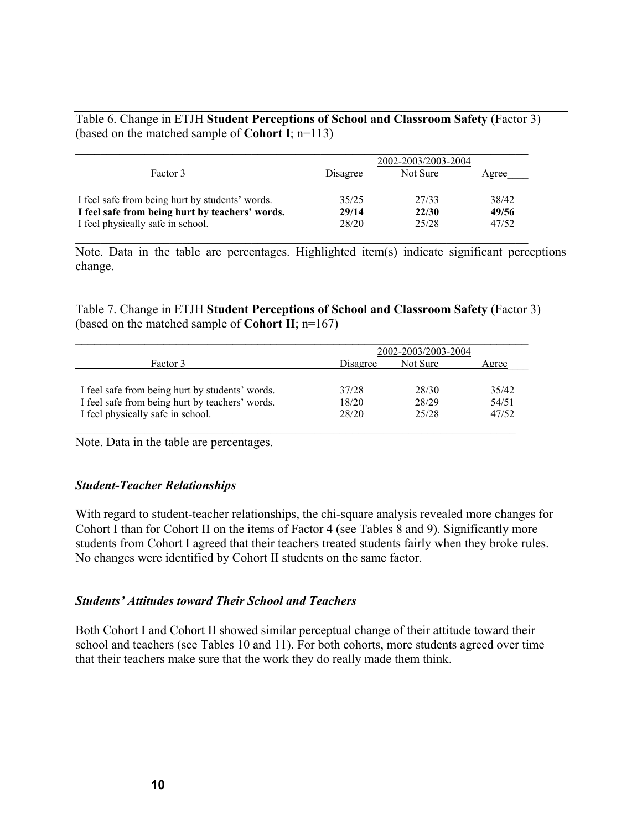Table 6. Change in ETJH **Student Perceptions of School and Classroom Safety** (Factor 3) (based on the matched sample of **Cohort I**; n=113)

|                                                 | 2002-2003/2003-2004 |          |       |
|-------------------------------------------------|---------------------|----------|-------|
| Factor 3                                        | Disagree            | Not Sure | Agree |
| I feel safe from being hurt by students' words. | 35/25               | 27/33    | 38/42 |
| I feel safe from being hurt by teachers' words. | 29/14               | 22/30    | 49/56 |
| I feel physically safe in school.               | 28/20               | 25/28    | 47/52 |

Note. Data in the table are percentages. Highlighted item(s) indicate significant perceptions change.

Table 7. Change in ETJH **Student Perceptions of School and Classroom Safety** (Factor 3) (based on the matched sample of **Cohort II**; n=167)

|                                                 | 2002-2003/2003-2004 |          |       |
|-------------------------------------------------|---------------------|----------|-------|
| Factor 3                                        | Disagree            | Not Sure | Agree |
| I feel safe from being hurt by students' words. | 37/28               | 28/30    | 35/42 |
| I feel safe from being hurt by teachers' words. | 18/20               | 28/29    | 54/51 |
| I feel physically safe in school.               | 28/20               | 25/28    | 47/52 |

Note. Data in the table are percentages.

#### *Student-Teacher Relationships*

With regard to student-teacher relationships, the chi-square analysis revealed more changes for Cohort I than for Cohort II on the items of Factor 4 (see Tables 8 and 9). Significantly more students from Cohort I agreed that their teachers treated students fairly when they broke rules. No changes were identified by Cohort II students on the same factor.

#### *Students' Attitudes toward Their School and Teachers*

Both Cohort I and Cohort II showed similar perceptual change of their attitude toward their school and teachers (see Tables 10 and 11). For both cohorts, more students agreed over time that their teachers make sure that the work they do really made them think.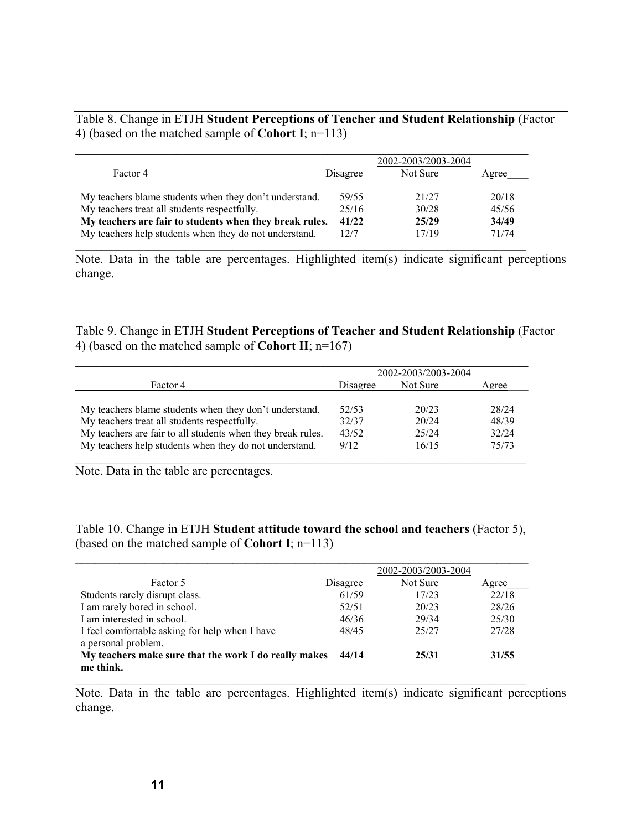Table 8. Change in ETJH **Student Perceptions of Teacher and Student Relationship** (Factor 4) (based on the matched sample of **Cohort I**; n=113)

|                                                         |          | 2002-2003/2003-2004 |       |
|---------------------------------------------------------|----------|---------------------|-------|
| Factor 4                                                | Disagree | Not Sure            | Agree |
|                                                         |          |                     |       |
| My teachers blame students when they don't understand.  | 59/55    | 21/27               | 20/18 |
| My teachers treat all students respectfully.            | 25/16    | 30/28               | 45/56 |
| My teachers are fair to students when they break rules. | 41/22    | 25/29               | 34/49 |
| My teachers help students when they do not understand.  | 12/7     | 17/19               | 71/74 |

Note. Data in the table are percentages. Highlighted item(s) indicate significant perceptions change.

Table 9. Change in ETJH **Student Perceptions of Teacher and Student Relationship** (Factor 4) (based on the matched sample of **Cohort II**; n=167)

|                                                             |          | 2002-2003/2003-2004 |       |
|-------------------------------------------------------------|----------|---------------------|-------|
| Factor 4                                                    | Disagree | Not Sure            | Agree |
|                                                             |          |                     |       |
| My teachers blame students when they don't understand.      | 52/53    | 20/23               | 28/24 |
| My teachers treat all students respectfully.                | 32/37    | 20/24               | 48/39 |
| My teachers are fair to all students when they break rules. | 43/52    | 25/24               | 32/24 |
| My teachers help students when they do not understand.      | 9/12     | 16/15               | 75/73 |

Note. Data in the table are percentages.

Table 10. Change in ETJH **Student attitude toward the school and teachers** (Factor 5), (based on the matched sample of **Cohort I**; n=113)

|                                                                       |          | 2002-2003/2003-2004 |       |
|-----------------------------------------------------------------------|----------|---------------------|-------|
| Factor 5                                                              | Disagree | Not Sure            | Agree |
| Students rarely disrupt class.                                        | 61/59    | 17/23               | 22/18 |
| I am rarely bored in school.                                          | 52/51    | 20/23               | 28/26 |
| I am interested in school.                                            | 46/36    | 29/34               | 25/30 |
| I feel comfortable asking for help when I have<br>a personal problem. | 48/45    | 25/27               | 27/28 |
| My teachers make sure that the work I do really makes<br>me think.    | 44/14    | 25/31               | 31/55 |

Note. Data in the table are percentages. Highlighted item(s) indicate significant perceptions change.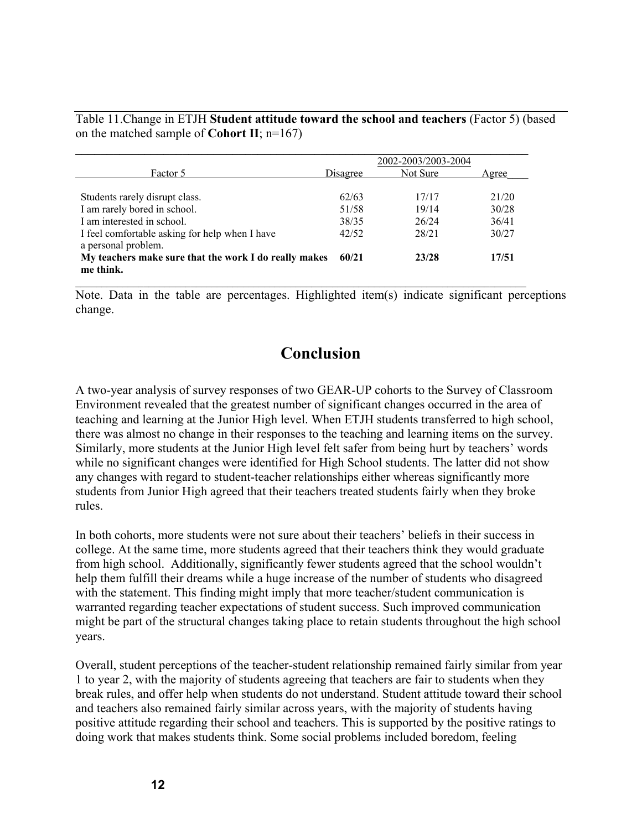Table 11.Change in ETJH **Student attitude toward the school and teachers** (Factor 5) (based on the matched sample of **Cohort II**; n=167)

|                                                       |          | 2002-2003/2003-2004 |       |
|-------------------------------------------------------|----------|---------------------|-------|
| Factor 5                                              | Disagree | Not Sure            | Agree |
|                                                       |          |                     |       |
| Students rarely disrupt class.                        | 62/63    | 17/17               | 21/20 |
| I am rarely bored in school.                          | 51/58    | 19/14               | 30/28 |
| I am interested in school.                            | 38/35    | 26/24               | 36/41 |
| I feel comfortable asking for help when I have        | 42/52    | 28/21               | 30/27 |
| a personal problem.                                   |          |                     |       |
| My teachers make sure that the work I do really makes | 60/21    | 23/28               | 17/51 |
| me think.                                             |          |                     |       |

Note. Data in the table are percentages. Highlighted item(s) indicate significant perceptions change.

# **Conclusion**

A two-year analysis of survey responses of two GEAR-UP cohorts to the Survey of Classroom Environment revealed that the greatest number of significant changes occurred in the area of teaching and learning at the Junior High level. When ETJH students transferred to high school, there was almost no change in their responses to the teaching and learning items on the survey. Similarly, more students at the Junior High level felt safer from being hurt by teachers' words while no significant changes were identified for High School students. The latter did not show any changes with regard to student-teacher relationships either whereas significantly more students from Junior High agreed that their teachers treated students fairly when they broke rules.

In both cohorts, more students were not sure about their teachers' beliefs in their success in college. At the same time, more students agreed that their teachers think they would graduate from high school. Additionally, significantly fewer students agreed that the school wouldn't help them fulfill their dreams while a huge increase of the number of students who disagreed with the statement. This finding might imply that more teacher/student communication is warranted regarding teacher expectations of student success. Such improved communication might be part of the structural changes taking place to retain students throughout the high school years.

Overall, student perceptions of the teacher-student relationship remained fairly similar from year 1 to year 2, with the majority of students agreeing that teachers are fair to students when they break rules, and offer help when students do not understand. Student attitude toward their school and teachers also remained fairly similar across years, with the majority of students having positive attitude regarding their school and teachers. This is supported by the positive ratings to doing work that makes students think. Some social problems included boredom, feeling